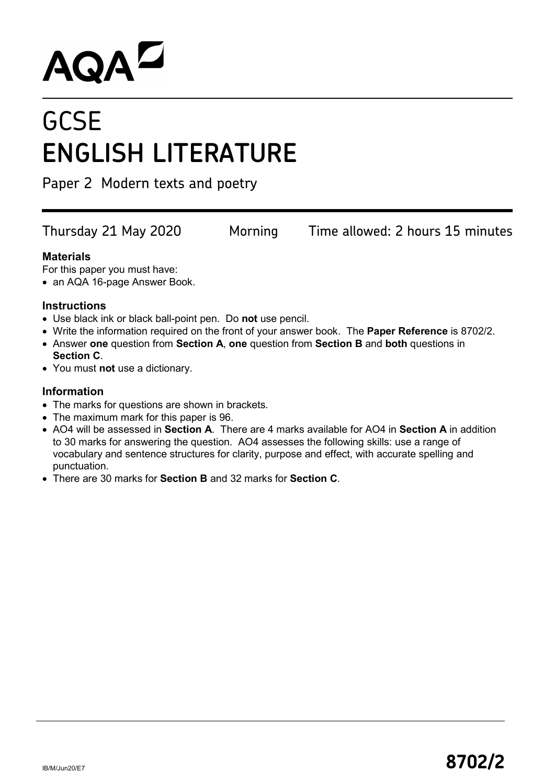# AQAD

# **GCSE ENGLISH LITERATURE**

Paper 2 Modern texts and poetry

Thursday 21 May 2020 Morning Time allowed: 2 hours 15 minutes

#### **Materials**

For this paper you must have:

• an AQA 16-page Answer Book.

#### **Instructions**

- Use black ink or black ball-point pen. Do **not** use pencil.
- Write the information required on the front of your answer book. The **Paper Reference** is 8702/2.
- Answer **one** question from **Section A**, **one** question from **Section B** and **both** questions in **Section C**.
- You must **not** use a dictionary.

#### **Information**

- The marks for questions are shown in brackets.
- The maximum mark for this paper is 96.
- AO4 will be assessed in **Section A**. There are 4 marks available for AO4 in **Section A** in addition to 30 marks for answering the question. AO4 assesses the following skills: use a range of vocabulary and sentence structures for clarity, purpose and effect, with accurate spelling and punctuation.
- There are 30 marks for **Section B** and 32 marks for **Section C**.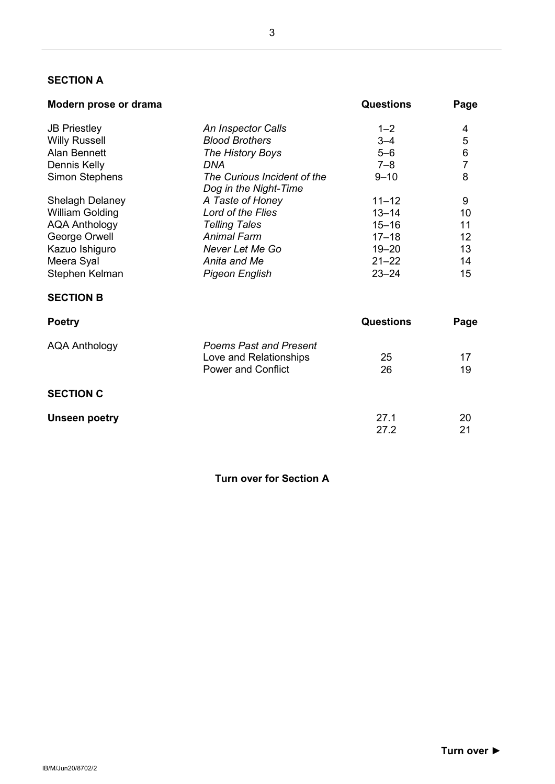#### **SECTION A**

| Modern prose or drama | <b>Questions</b> | Page |
|-----------------------|------------------|------|
|                       |                  |      |

| <b>JB Priestley</b>    | An Inspector Calls                                   | $1 - 2$          | 4              |
|------------------------|------------------------------------------------------|------------------|----------------|
| <b>Willy Russell</b>   | <b>Blood Brothers</b>                                | $3 - 4$          | 5              |
| <b>Alan Bennett</b>    | The History Boys                                     | $5 - 6$          | 6              |
| Dennis Kelly           | DNA                                                  | $7 - 8$          | $\overline{7}$ |
| <b>Simon Stephens</b>  | The Curious Incident of the<br>Dog in the Night-Time | $9 - 10$         | 8              |
| <b>Shelagh Delaney</b> | A Taste of Honey                                     | $11 - 12$        | 9              |
| <b>William Golding</b> | Lord of the Flies                                    | $13 - 14$        | 10             |
| <b>AQA Anthology</b>   | <b>Telling Tales</b>                                 | $15 - 16$        | 11             |
| George Orwell          | <b>Animal Farm</b>                                   | $17 - 18$        | 12             |
| Kazuo Ishiguro         | Never Let Me Go                                      | $19 - 20$        | 13             |
| Meera Syal             | Anita and Me                                         | $21 - 22$        | 14             |
| Stephen Kelman         | <b>Pigeon English</b>                                | $23 - 24$        | 15             |
| <b>SECTION B</b>       |                                                      |                  |                |
| <b>Poetry</b>          |                                                      | <b>Questions</b> | Page           |
| <b>AQA Anthology</b>   | <b>Poems Past and Present</b>                        |                  |                |
|                        | Love and Relationships                               | 25               | 17             |
|                        | <b>Power and Conflict</b>                            | 26               | 19             |
| <b>SECTION C</b>       |                                                      |                  |                |
| <b>Unseen poetry</b>   |                                                      | 27.1             | 20             |
|                        |                                                      | 27.2             | 21             |

**Turn over for Section A**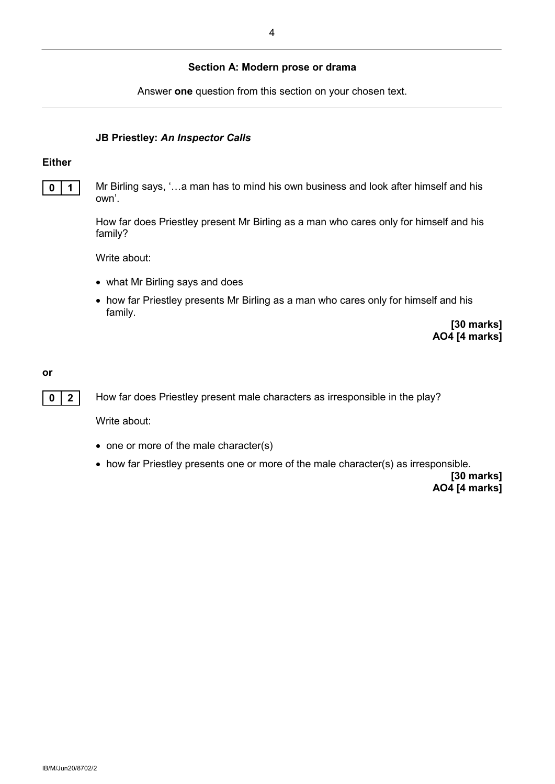#### **Section A: Modern prose or drama**

Answer **one** question from this section on your chosen text.

#### **JB Priestley:** *An Inspector Calls*

#### **Either**

**0 1** Mr Birling says, '...a man has to mind his own business and look after himself and his own'.

> How far does Priestley present Mr Birling as a man who cares only for himself and his family?

Write about:

- what Mr Birling says and does
- how far Priestley presents Mr Birling as a man who cares only for himself and his family.

**[30 marks] AO4 [4 marks]**

#### **or**

**0 2** How far does Priestley present male characters as irresponsible in the play?

Write about:

- one or more of the male character(s)
- how far Priestley presents one or more of the male character(s) as irresponsible.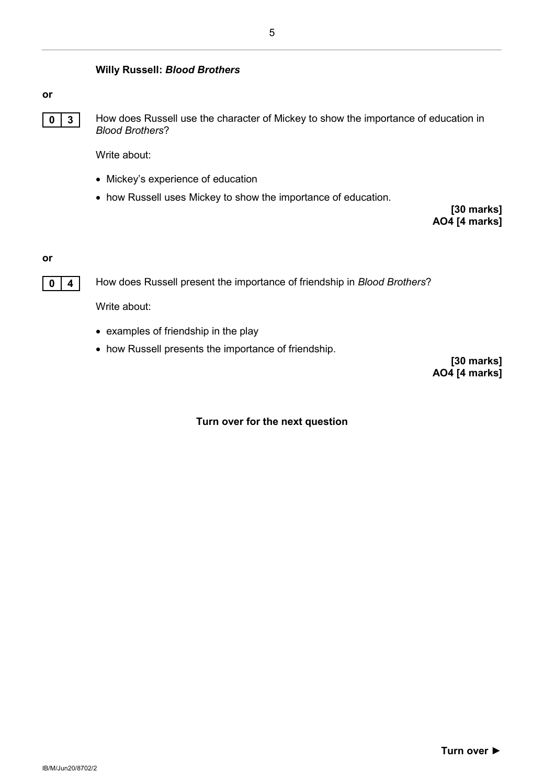#### **Willy Russell:** *Blood Brothers*

#### **or**



**0 3** How does Russell use the character of Mickey to show the importance of education in *Blood Brothers*?

Write about:

- Mickey's experience of education
- how Russell uses Mickey to show the importance of education.

**[30 marks] AO4 [4 marks]**

#### **or**



**0 4** How does Russell present the importance of friendship in *Blood Brothers*?

Write about:

- examples of friendship in the play
- how Russell presents the importance of friendship.

**[30 marks] AO4 [4 marks]**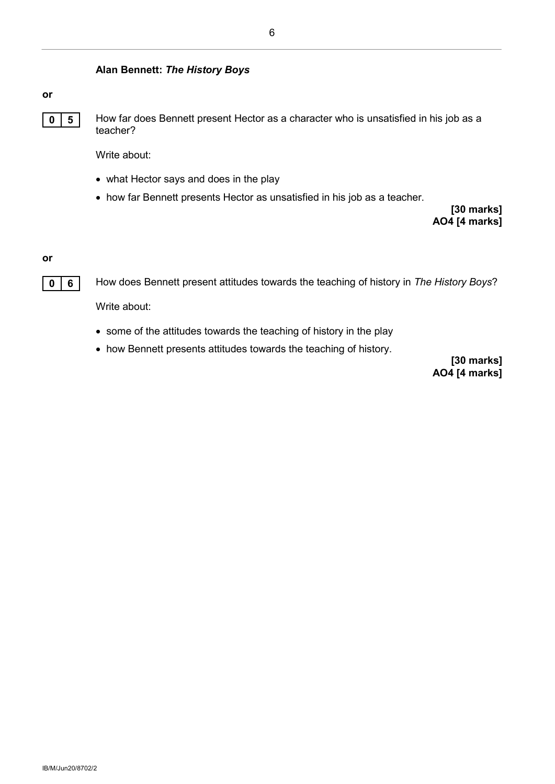#### **Alan Bennett:** *The History Boys*

#### **or**

**0 5** How far does Bennett present Hector as a character who is unsatisfied in his job as a teacher?

Write about:

- what Hector says and does in the play
- how far Bennett presents Hector as unsatisfied in his job as a teacher.

**[30 marks] AO4 [4 marks]**

#### **or**

**0 6** How does Bennett present attitudes towards the teaching of history in *The History Boys*?

Write about:

- some of the attitudes towards the teaching of history in the play
- how Bennett presents attitudes towards the teaching of history.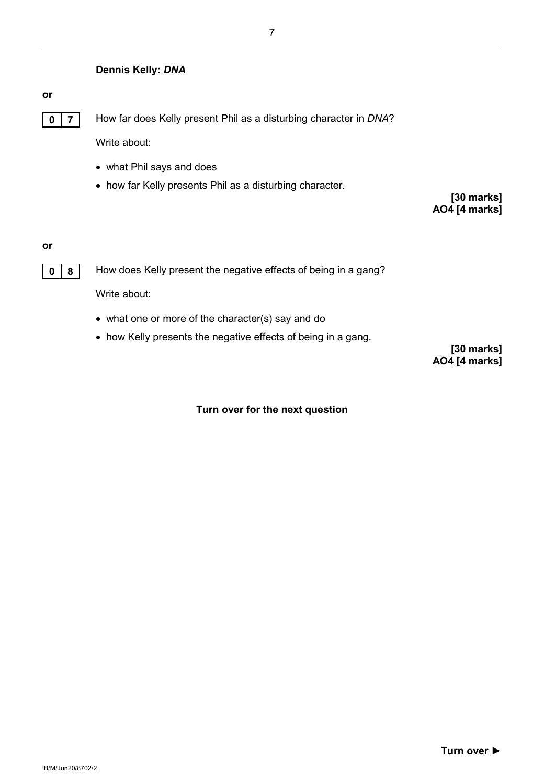#### **Dennis Kelly:** *DNA*

#### **or**

**0 7** How far does Kelly present Phil as a disturbing character in *DNA*?

Write about:

- what Phil says and does
- how far Kelly presents Phil as a disturbing character.

**[30 marks] AO4 [4 marks]**

#### **or**



**0 8** How does Kelly present the negative effects of being in a gang?

Write about:

- what one or more of the character(s) say and do
- how Kelly presents the negative effects of being in a gang.

**[30 marks] AO4 [4 marks]**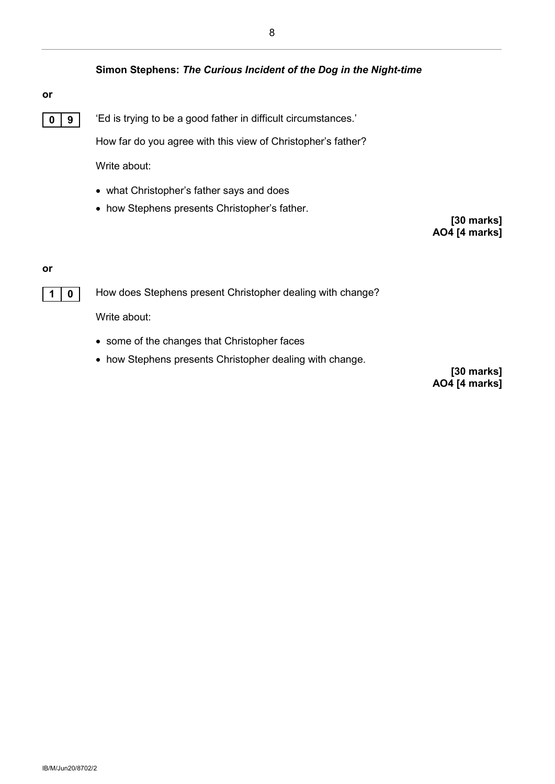#### **Simon Stephens:** *The Curious Incident of the Dog in the Night-time*

#### **or**

**0 9** <sup>'</sup>Ed is trying to be a good father in difficult circumstances.'

How far do you agree with this view of Christopher's father?

Write about:

- what Christopher's father says and does
- how Stephens presents Christopher's father.

**[30 marks] AO4 [4 marks]**

#### **or**



**1 0** How does Stephens present Christopher dealing with change?

Write about:

- some of the changes that Christopher faces
- how Stephens presents Christopher dealing with change.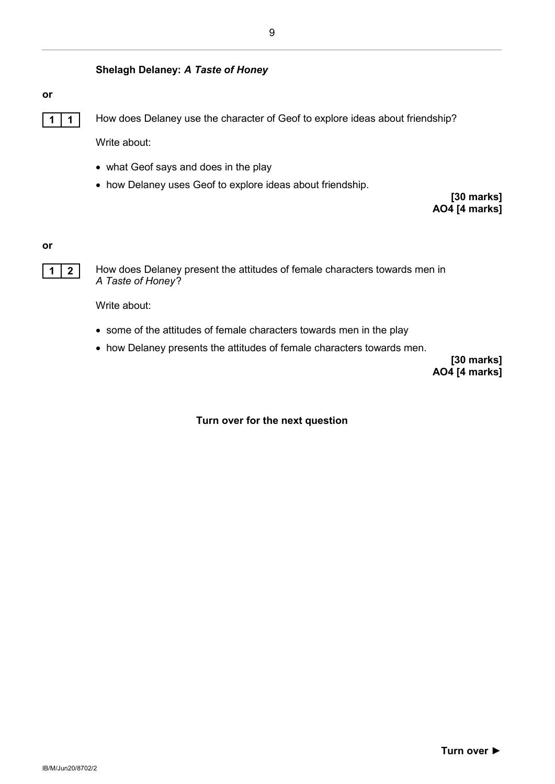#### **Shelagh Delaney:** *A Taste of Honey*

#### **or**

**1 1 1** How does Delaney use the character of Geof to explore ideas about friendship?

Write about:

- what Geof says and does in the play
- how Delaney uses Geof to explore ideas about friendship.

**[30 marks] AO4 [4 marks]**

**or**



**1 2** How does Delaney present the attitudes of female characters towards men in *A Taste of Honey*?

Write about:

- some of the attitudes of female characters towards men in the play
- how Delaney presents the attitudes of female characters towards men.

**[30 marks] AO4 [4 marks]**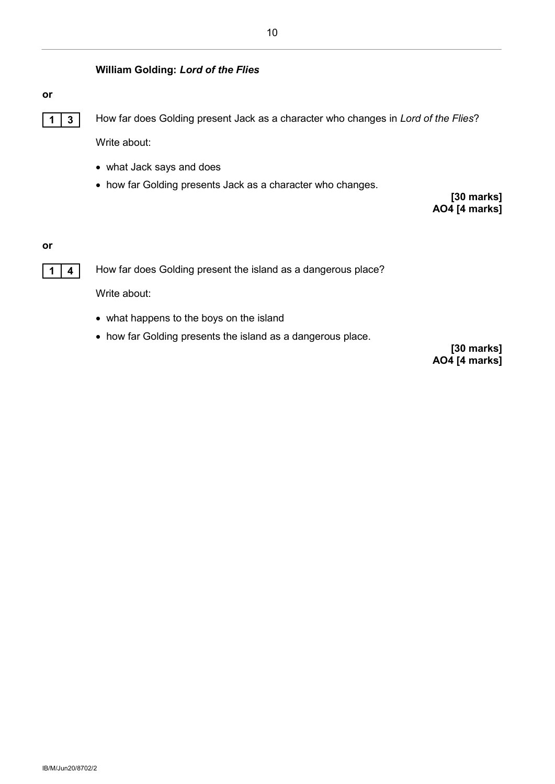#### **William Golding:** *Lord of the Flies*

#### **or**

**1 3** How far does Golding present Jack as a character who changes in *Lord of the Flies*? Write about:

- what Jack says and does
- how far Golding presents Jack as a character who changes.

**[30 marks] AO4 [4 marks]**

**or**



**1 4** How far does Golding present the island as a dangerous place?

Write about:

- what happens to the boys on the island
- how far Golding presents the island as a dangerous place.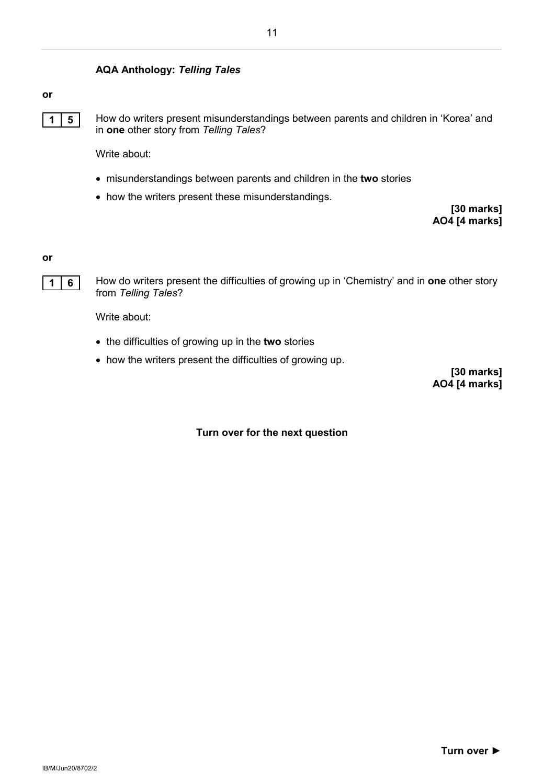#### **AQA Anthology:** *Telling Tales*

#### **or**



**1 5** How do writers present misunderstandings between parents and children in 'Korea' and in **one** other story from *Telling Tales*?

Write about:

- misunderstandings between parents and children in the **two** stories
- how the writers present these misunderstandings.

**[30 marks] AO4 [4 marks]**

**or**



**1 6** How do writers present the difficulties of growing up in 'Chemistry' and in **one** other story from *Telling Tales*?

Write about:

- the difficulties of growing up in the **two** stories
- how the writers present the difficulties of growing up.

**[30 marks] AO4 [4 marks]**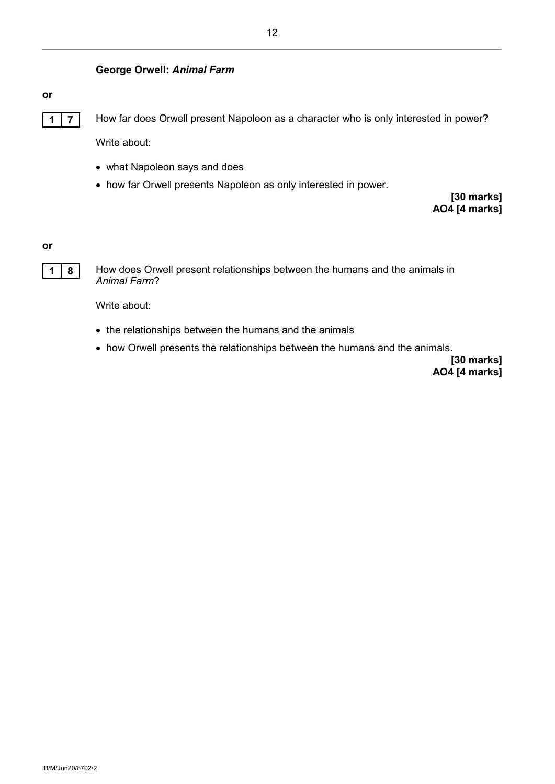#### **or**

**1 7** How far does Orwell present Napoleon as a character who is only interested in power? Write about:

- what Napoleon says and does
- how far Orwell presents Napoleon as only interested in power.

**[30 marks] AO4 [4 marks]**

**or**



**1 8** How does Orwell present relationships between the humans and the animals in *Animal Farm*?

Write about:

- the relationships between the humans and the animals
- how Orwell presents the relationships between the humans and the animals.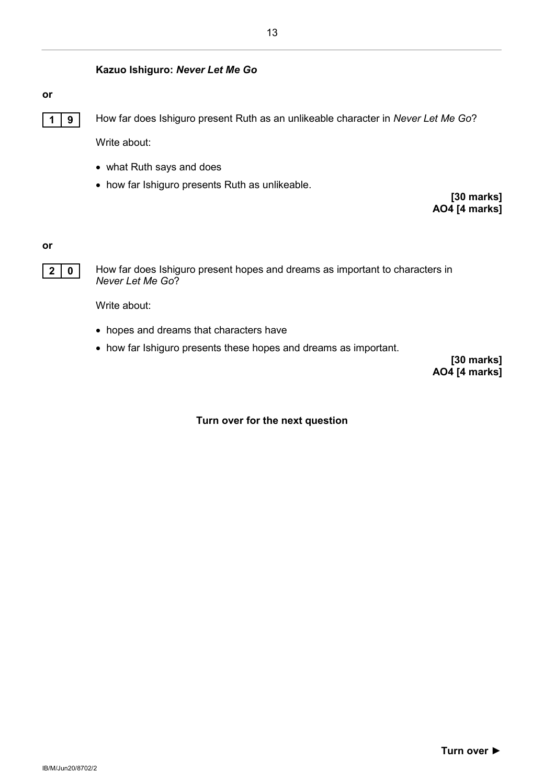#### **Kazuo Ishiguro:** *Never Let Me Go*

#### **or**



**1 9** How far does Ishiguro present Ruth as an unlikeable character in *Never Let Me Go*?

Write about:

- what Ruth says and does
- how far Ishiguro presents Ruth as unlikeable.

**[30 marks] AO4 [4 marks]**

#### **or**



**2 0** How far does Ishiguro present hopes and dreams as important to characters in *Never Let Me Go*?

Write about:

- hopes and dreams that characters have
- how far Ishiguro presents these hopes and dreams as important.

**[30 marks] AO4 [4 marks]**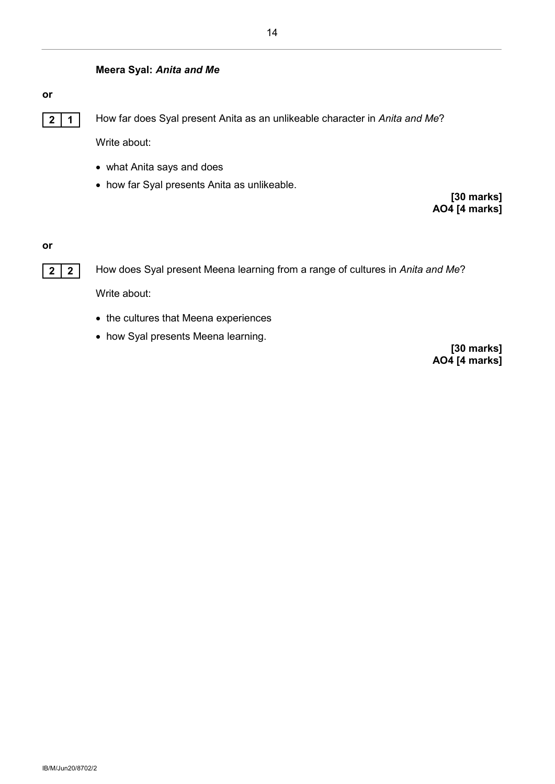#### **Meera Syal:** *Anita and Me*

#### **or**

**2 1** How far does Syal present Anita as an unlikeable character in *Anita and Me*?

Write about:

- what Anita says and does
- how far Syal presents Anita as unlikeable.

**[30 marks] AO4 [4 marks]**

#### **or**



**2 2** How does Syal present Meena learning from a range of cultures in *Anita and Me*?

Write about:

- the cultures that Meena experiences
- how Syal presents Meena learning.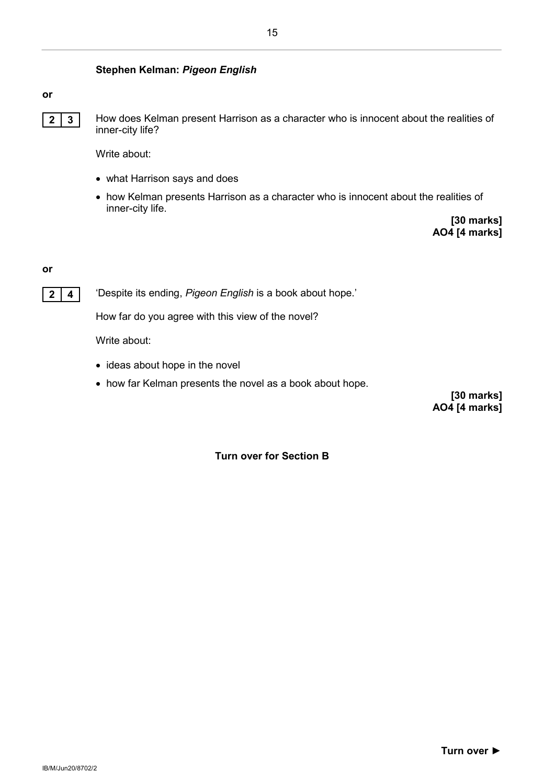#### **Stephen Kelman:** *Pigeon English*

#### **or**



**2 3** How does Kelman present Harrison as a character who is innocent about the realities of inner-city life?

15

Write about:

- what Harrison says and does
- how Kelman presents Harrison as a character who is innocent about the realities of inner-city life.

**[30 marks] AO4 [4 marks]**

#### **or**

**2 4** 'Despite its ending, *Pigeon English* is a book about hope.'

How far do you agree with this view of the novel?

Write about:

- ideas about hope in the novel
- how far Kelman presents the novel as a book about hope.

**[30 marks] AO4 [4 marks]**

#### **Turn over for Section B**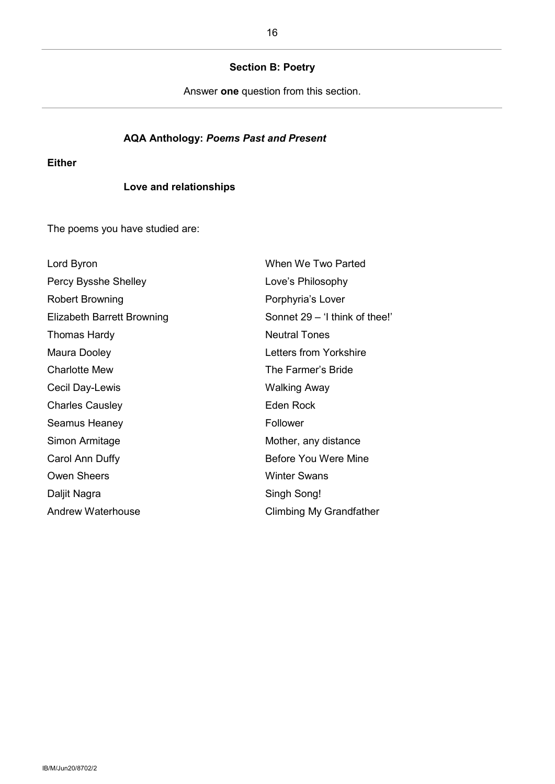#### **Section B: Poetry**

Answer **one** question from this section.

#### **AQA Anthology:** *Poems Past and Present*

#### **Either**

#### **Love and relationships**

The poems you have studied are:

| Lord Byron                 | When We Two Parted             |
|----------------------------|--------------------------------|
| Percy Bysshe Shelley       | Love's Philosophy              |
| <b>Robert Browning</b>     | Porphyria's Lover              |
| Elizabeth Barrett Browning | Sonnet 29 - 'I think of thee!' |
| Thomas Hardy               | <b>Neutral Tones</b>           |
| Maura Dooley               | Letters from Yorkshire         |
| <b>Charlotte Mew</b>       | The Farmer's Bride             |
| Cecil Day-Lewis            | <b>Walking Away</b>            |
| <b>Charles Causley</b>     | <b>Eden Rock</b>               |
| Seamus Heaney              | Follower                       |
| Simon Armitage             | Mother, any distance           |
| Carol Ann Duffy            | Before You Were Mine           |
| <b>Owen Sheers</b>         | <b>Winter Swans</b>            |
| Daljit Nagra               | Singh Song!                    |
| Andrew Waterhouse          | <b>Climbing My Grandfather</b> |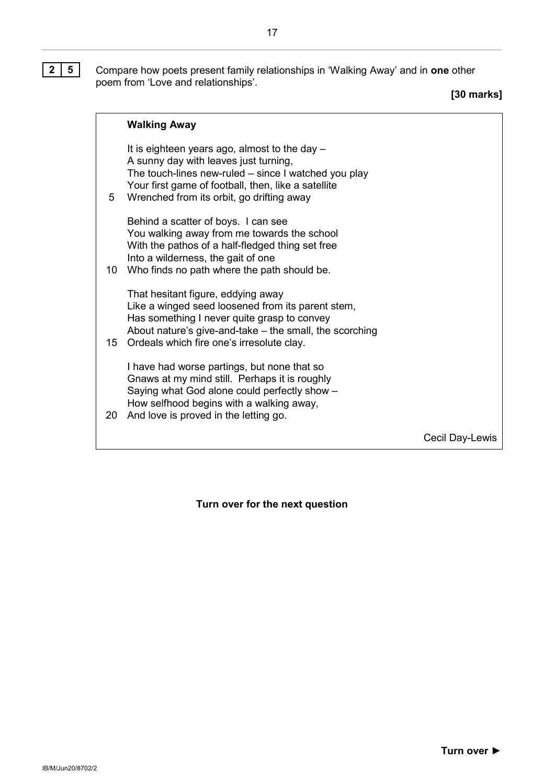**2 5** Compare how poets present family relationships in 'Walking Away' and in **one** other poem from 'Love and relationships'.

**[30 marks]**

|    | <b>Walking Away</b>                                                                                                                                                                                                                                |                 |
|----|----------------------------------------------------------------------------------------------------------------------------------------------------------------------------------------------------------------------------------------------------|-----------------|
| 5  | It is eighteen years ago, almost to the day -<br>A sunny day with leaves just turning,<br>The touch-lines new-ruled – since I watched you play<br>Your first game of football, then, like a satellite<br>Wrenched from its orbit, go drifting away |                 |
| 10 | Behind a scatter of boys. I can see<br>You walking away from me towards the school<br>With the pathos of a half-fledged thing set free<br>Into a wilderness, the gait of one<br>Who finds no path where the path should be.                        |                 |
| 15 | That hesitant figure, eddying away<br>Like a winged seed loosened from its parent stem,<br>Has something I never quite grasp to convey<br>About nature's give-and-take – the small, the scorching<br>Ordeals which fire one's irresolute clay.     |                 |
| 20 | I have had worse partings, but none that so<br>Gnaws at my mind still. Perhaps it is roughly<br>Saying what God alone could perfectly show -<br>How selfhood begins with a walking away,<br>And love is proved in the letting go.                  |                 |
|    |                                                                                                                                                                                                                                                    | Cecil Day-Lewis |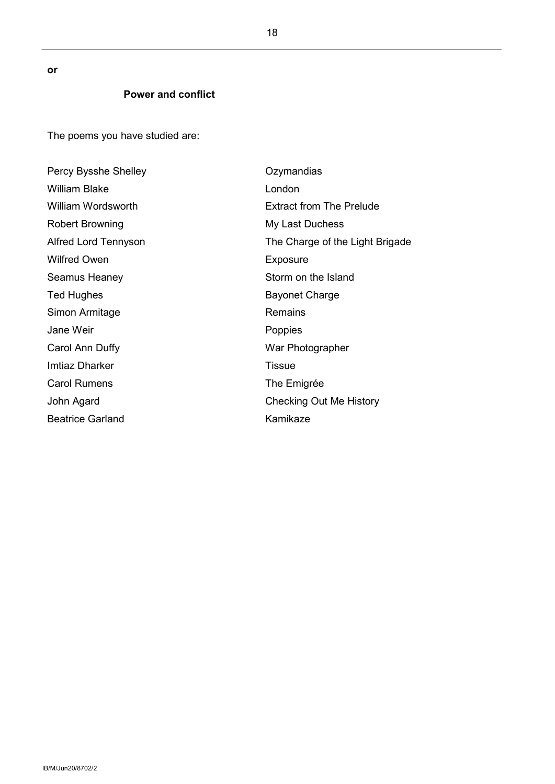**or**

#### **Power and conflict**

The poems you have studied are:

Percy Bysshe Shelley William Blake William Wordsworth Robert Browning Alfred Lord Tennyson Wilfred Owen Seamus Heaney Ted Hughes Simon Armitage Jane Weir Carol Ann Duffy Imtiaz Dharker Carol Rumens John Agard Beatrice Garland **Ozymandias** London Extract from The Prelude My Last Duchess The Charge of the Light Brigade Exposure Storm on the Island Bayonet Charge Remains Poppies War Photographer **Tissue** The Emigrée Checking Out Me History Kamikaze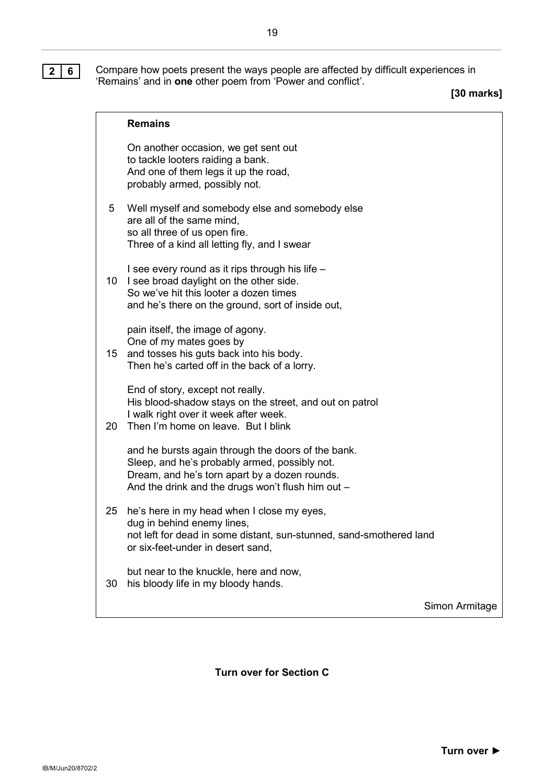**2 6** Compare how poets present the ways people are affected by difficult experiences in 'Remains' and in **one** other poem from 'Power and conflict'.

**[30 marks]**

|                 | <b>Remains</b>                                                                                                                                                                                            |                |
|-----------------|-----------------------------------------------------------------------------------------------------------------------------------------------------------------------------------------------------------|----------------|
|                 | On another occasion, we get sent out<br>to tackle looters raiding a bank.<br>And one of them legs it up the road,<br>probably armed, possibly not.                                                        |                |
| 5               | Well myself and somebody else and somebody else<br>are all of the same mind,<br>so all three of us open fire.<br>Three of a kind all letting fly, and I swear                                             |                |
| 10 <sup>°</sup> | I see every round as it rips through his life -<br>I see broad daylight on the other side.<br>So we've hit this looter a dozen times<br>and he's there on the ground, sort of inside out,                 |                |
| 15              | pain itself, the image of agony.<br>One of my mates goes by<br>and tosses his guts back into his body.<br>Then he's carted off in the back of a lorry.                                                    |                |
| 20              | End of story, except not really.<br>His blood-shadow stays on the street, and out on patrol<br>I walk right over it week after week.<br>Then I'm home on leave. But I blink                               |                |
|                 | and he bursts again through the doors of the bank.<br>Sleep, and he's probably armed, possibly not.<br>Dream, and he's torn apart by a dozen rounds.<br>And the drink and the drugs won't flush him out - |                |
| 25              | he's here in my head when I close my eyes,<br>dug in behind enemy lines,<br>not left for dead in some distant, sun-stunned, sand-smothered land<br>or six-feet-under in desert sand,                      |                |
| 30              | but near to the knuckle, here and now,<br>his bloody life in my bloody hands.                                                                                                                             |                |
|                 |                                                                                                                                                                                                           | Simon Armitage |

**Turn over for Section C**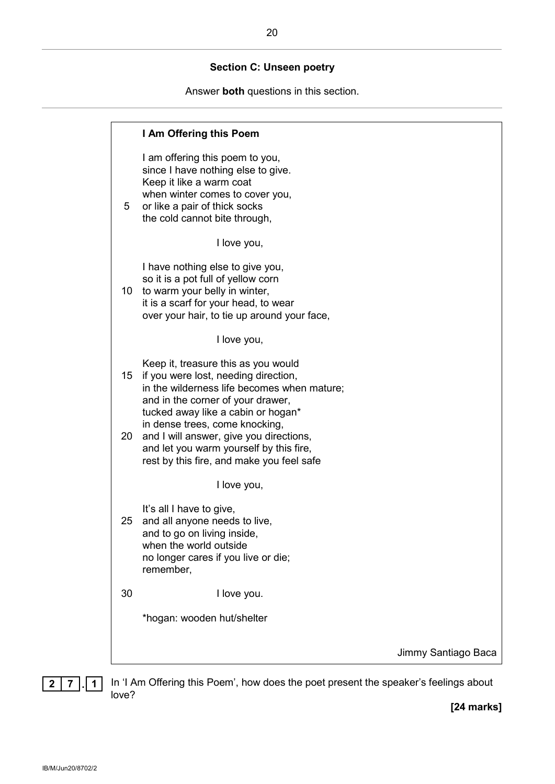#### **Section C: Unseen poetry**

Answer **both** questions in this section.



**2 7 . 1** In 'I Am Offering this Poem', how does the poet present the speaker's feelings about love?

**[24 marks]**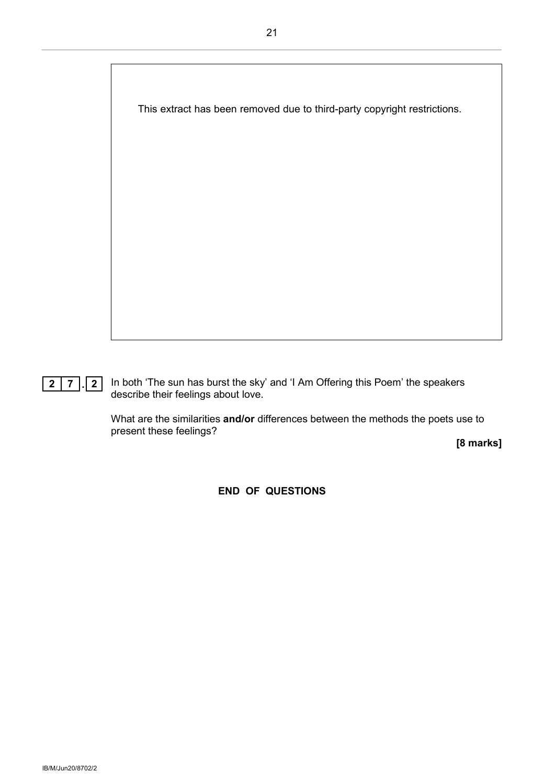

**2 7 . 2** In both 'The sun has burst the sky' and 'I Am Offering this Poem' the speakers describe their feelings about love.

> What are the similarities **and/or** differences between the methods the poets use to present these feelings?

> > **[8 marks]**

**END OF QUESTIONS**